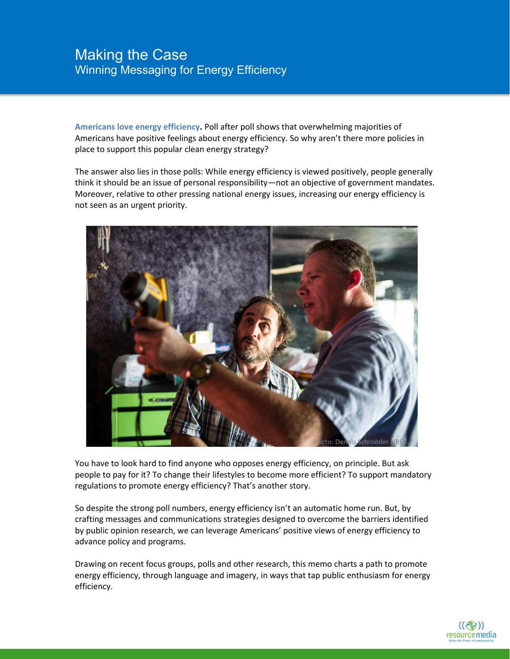**Americans love energy efficiency.** Poll after poll shows that overwhelming majorities of Americans have positive feelings about energy efficiency. So why aren't there more policies in place to support this popular clean energy strategy?

The answer also lies in those polls: While energy efficiency is viewed positively, people generally think it should be an issue of personal responsibility—not an objective of government mandates. Moreover, relative to other pressing national energy issues, increasing our energy efficiency is not seen as an urgent priority.



You have to look hard to find anyone who opposes energy efficiency, on principle. But ask people to pay for it? To change their lifestyles to become more efficient? To support mandatory regulations to promote energy efficiency? That's another story.

So despite the strong poll numbers, energy efficiency isn't an automatic home run. But, by crafting messages and communications strategies designed to overcome the barriers identified by public opinion research, we can leverage Americans' positive views of energy efficiency to advance policy and programs.

Drawing on recent focus groups, polls and other research, this memo charts a path to promote energy efficiency, through language and imagery, in ways that tap public enthusiasm for energy efficiency.

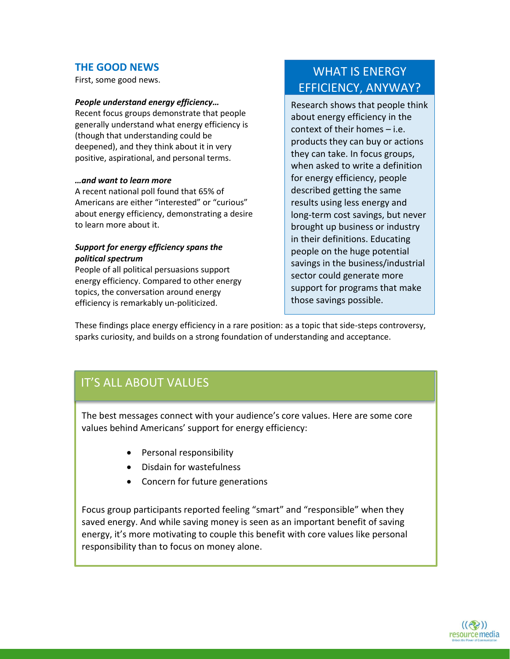### **THE GOOD NEWS**

First, some good news.

#### *People understand energy efficiency…*

Recent focus groups demonstrate that people generally understand what energy efficiency is (though that understanding could be deepened), and they think about it in very positive, aspirational, and personal terms.

#### *…and want to learn more*

A recent national poll found that 65% of Americans are either "interested" or "curious" about energy efficiency, demonstrating a desire to learn more about it.

#### *Support for energy efficiency spans the political spectrum*

People of all political persuasions support energy efficiency. Compared to other energy topics, the conversation around energy efficiency is remarkably un-politicized.

# WHAT IS ENERGY EFFICIENCY, ANYWAY?

Research shows that people think about energy efficiency in the context of their homes – i.e. products they can buy or actions they can take. In focus groups, when asked to write a definition for energy efficiency, people described getting the same results using less energy and long-term cost savings, but never brought up business or industry in their definitions. Educating people on the huge potential savings in the business/industrial sector could generate more support for programs that make those savings possible.

These findings place energy efficiency in a rare position: as a topic that side-steps controversy, sparks curiosity, and builds on a strong foundation of understanding and acceptance.

# IT'S ALL ABOUT VALUES

The best messages connect with your audience's core values. Here are some core values behind Americans' support for energy efficiency:

- Personal responsibility
- Disdain for wastefulness
- Concern for future generations

Focus group participants reported feeling "smart" and "responsible" when they saved energy. And while saving money is seen as an important benefit of saving energy, it's more motivating to couple this benefit with core values like personal responsibility than to focus on money alone.

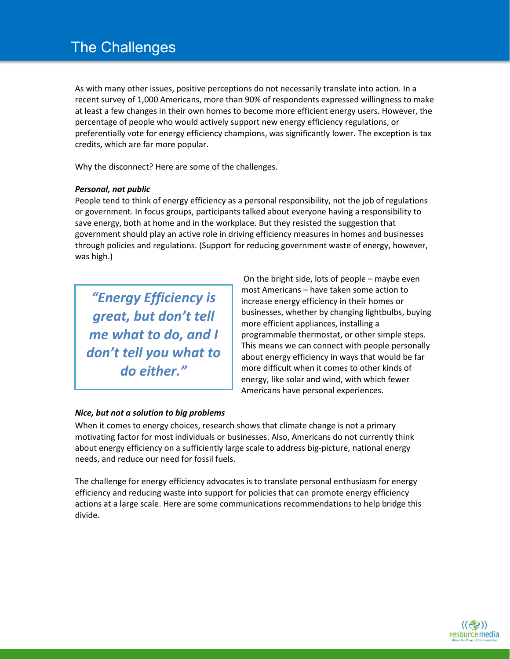# The Challenges

As with many other issues, positive perceptions do not necessarily translate into action. In a recent survey of 1,000 Americans, more than 90% of respondents expressed willingness to make at least a few changes in their own homes to become more efficient energy users. However, the percentage of people who would actively support new energy efficiency regulations, or preferentially vote for energy efficiency champions, was significantly lower. The exception is tax credits, which are far more popular.

Why the disconnect? Here are some of the challenges.

#### *Personal, not public*

People tend to think of energy efficiency as a personal responsibility, not the job of regulations or government. In focus groups, participants talked about everyone having a responsibility to save energy, both at home and in the workplace. But they resisted the suggestion that government should play an active role in driving efficiency measures in homes and businesses through policies and regulations. (Support for reducing government waste of energy, however, was high.)

*"Energy Efficiency is great, but don't tell me what to do, and I don't tell you what to do either."*

 On the bright side, lots of people – maybe even most Americans – have taken some action to increase energy efficiency in their homes or businesses, whether by changing lightbulbs, buying more efficient appliances, installing a programmable thermostat, or other simple steps. This means we can connect with people personally about energy efficiency in ways that would be far more difficult when it comes to other kinds of energy, like solar and wind, with which fewer Americans have personal experiences.

#### *Nice, but not a solution to big problems*

When it comes to energy choices, research shows that climate change is not a primary motivating factor for most individuals or businesses. Also, Americans do not currently think about energy efficiency on a sufficiently large scale to address big-picture, national energy needs, and reduce our need for fossil fuels.

The challenge for energy efficiency advocates is to translate personal enthusiasm for energy efficiency and reducing waste into support for policies that can promote energy efficiency actions at a large scale. Here are some communications recommendations to help bridge this divide.

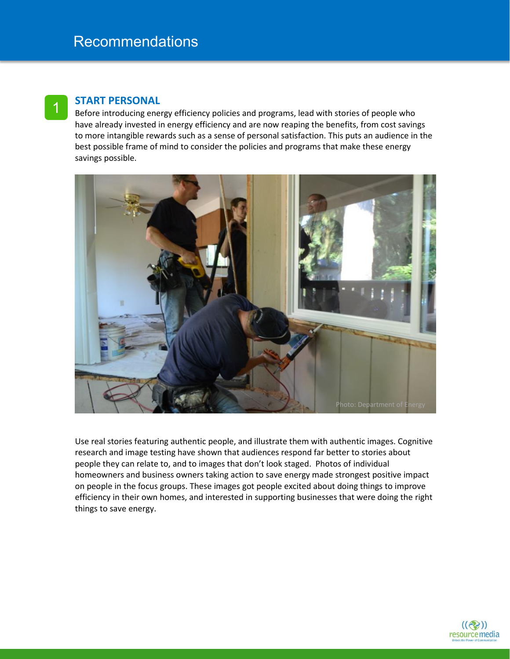### **START PERSONAL**

1

Before introducing energy efficiency policies and programs, lead with stories of people who have already invested in energy efficiency and are now reaping the benefits, from cost savings to more intangible rewards such as a sense of personal satisfaction. This puts an audience in the best possible frame of mind to consider the policies and programs that make these energy savings possible.



Use real stories featuring authentic people, and illustrate them with authentic images. Cognitive research and image testing have shown that audiences respond far better to stories about people they can relate to, and to images that don't look staged. Photos of individual homeowners and business owners taking action to save energy made strongest positive impact on people in the focus groups. These images got people excited about doing things to improve efficiency in their own homes, and interested in supporting businesses that were doing the right things to save energy.

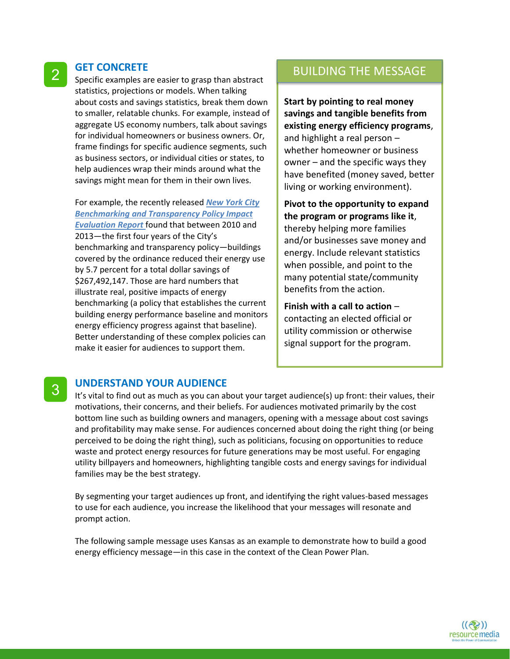#### **GET CONCRETE**

2

3

Specific examples are easier to grasp than abstract statistics, projections or models. When talking about costs and savings statistics, break them down to smaller, relatable chunks. For example, instead of aggregate US economy numbers, talk about savings for individual homeowners or business owners. Or, frame findings for specific audience segments, such as business sectors, or individual cities or states, to help audiences wrap their minds around what the savings might mean for them in their own lives.

For example, the recently released *New [York](http://energy.gov/eere/slsc/downloads/new-york-city-benchmarking-and-transparency-policy-impact-evaluation-report) City [Benchmarking](http://energy.gov/eere/slsc/downloads/new-york-city-benchmarking-and-transparency-policy-impact-evaluation-report) and Transparency Policy Impact [Evaluation](http://energy.gov/eere/slsc/downloads/new-york-city-benchmarking-and-transparency-policy-impact-evaluation-report) Report* found that between 2010 and 2013—the first four years of the City's benchmarking and transparency policy—buildings covered by the ordinance reduced their energy use by 5.7 percent for a total dollar savings of \$267,492,147. Those are hard numbers that illustrate real, positive impacts of energy benchmarking (a policy that establishes the current building energy performance baseline and monitors energy efficiency progress against that baseline). Better understanding of these complex policies can make it easier for audiences to support them.

### BUILDING THE MESSAGE

**Start by pointing to real money savings and tangible benefits from existing energy efficiency programs**, and highlight a real person – whether homeowner or business owner – and the specific ways they have benefited (money saved, better living or working environment).

**Pivot to the opportunity to expand the program or programs like it**, thereby helping more families and/or businesses save money and energy. Include relevant statistics when possible, and point to the many potential state/community benefits from the action.

**Finish with a call to action** – contacting an elected official or utility commission or otherwise signal support for the program.

#### **UNDERSTAND YOUR AUDIENCE**

It's vital to find out as much as you can about your target audience(s) up front: their values, their motivations, their concerns, and their beliefs. For audiences motivated primarily by the cost bottom line such as building owners and managers, opening with a message about cost savings and profitability may make sense. For audiences concerned about doing the right thing (or being perceived to be doing the right thing), such as politicians, focusing on opportunities to reduce waste and protect energy resources for future generations may be most useful. For engaging utility billpayers and homeowners, highlighting tangible costs and energy savings for individual families may be the best strategy.

By segmenting your target audiences up front, and identifying the right values-based messages to use for each audience, you increase the likelihood that your messages will resonate and prompt action.

The following sample message uses Kansas as an example to demonstrate how to build a good energy efficiency message—in this case in the context of the Clean Power Plan.

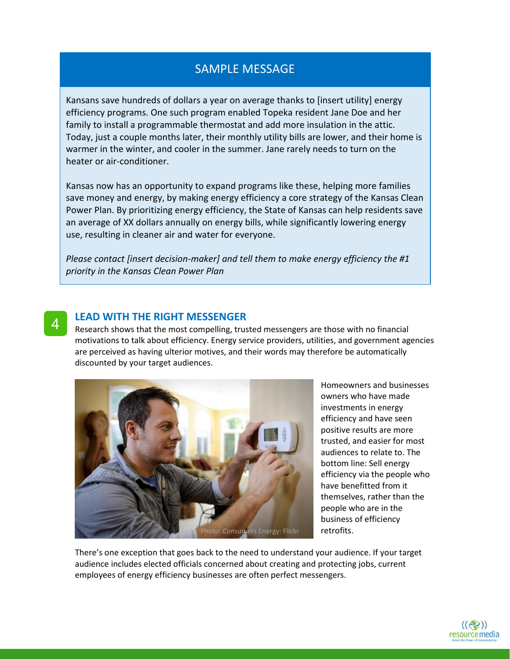# SAMPLE MESSAGE

Kansans save hundreds of dollars a year on average thanks to [insert utility] energy efficiency programs. One such program enabled Topeka resident Jane Doe and her family to install a programmable thermostat and add more insulation in the attic. Today, just a couple months later, their monthly utility bills are lower, and their home is warmer in the winter, and cooler in the summer. Jane rarely needs to turn on the heater or air-conditioner.

Kansas now has an opportunity to expand programs like these, helping more families save money and energy, by making energy efficiency a core strategy of the Kansas Clean Power Plan. By prioritizing energy efficiency, the State of Kansas can help residents save an average of XX dollars annually on energy bills, while significantly lowering energy use, resulting in cleaner air and water for everyone.

*Please contact [insert decision-maker] and tell them to make energy efficiency the #1 priority in the Kansas Clean Power Plan*

#### **LEAD WITH THE RIGHT MESSENGER**

4

Research shows that the most compelling, trusted messengers are those with no financial motivations to talk about efficiency. Energy service providers, utilities, and government agencies are perceived as having ulterior motives, and their words may therefore be automatically discounted by your target audiences.



Homeowners and businesses owners who have made investments in energy efficiency and have seen positive results are more trusted, and easier for most audiences to relate to. The bottom line: Sell energy efficiency via the people who have benefitted from it themselves, rather than the people who are in the business of efficiency retrofits.

There's one exception that goes back to the need to understand your audience. If your target audience includes elected officials concerned about creating and protecting jobs, current employees of energy efficiency businesses are often perfect messengers.

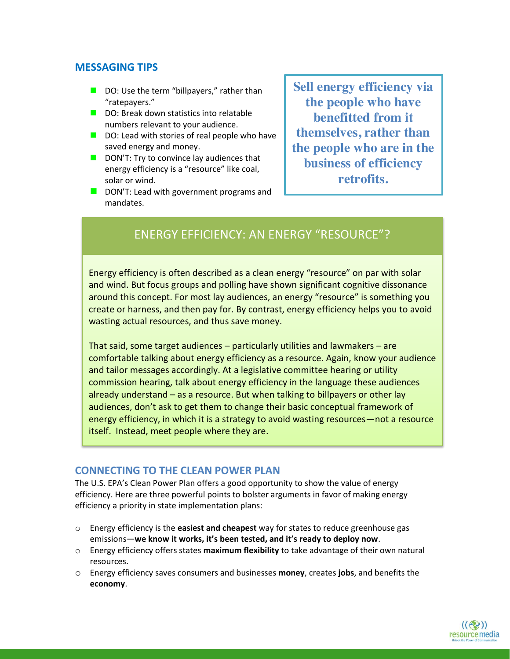### **MESSAGING TIPS**

- $\blacksquare$  DO: Use the term "billpayers," rather than "ratepayers."
- DO: Break down statistics into relatable numbers relevant to your audience.
- $\Box$  DO: Lead with stories of real people who have saved energy and money.
- $\blacksquare$  DON'T: Try to convince lay audiences that energy efficiency is a "resource" like coal, solar or wind.
- DON'T: Lead with government programs and mandates.

**Sell energy efficiency via the people who have benefitted from it themselves, rather than the people who are in the business of efficiency retrofits.**

# ENERGY EFFICIENCY: AN ENERGY "RESOURCE"?

Energy efficiency is often described as a clean energy "resource" on par with solar and wind. But focus groups and polling have shown significant cognitive dissonance around this concept. For most lay audiences, an energy "resource" is something you create or harness, and then pay for. By contrast, energy efficiency helps you to avoid wasting actual resources, and thus save money.

That said, some target audiences – particularly utilities and lawmakers – are comfortable talking about energy efficiency as a resource. Again, know your audience and tailor messages accordingly. At a legislative committee hearing or utility commission hearing, talk about energy efficiency in the language these audiences already understand – as a resource. But when talking to billpayers or other lay audiences, don't ask to get them to change their basic conceptual framework of energy efficiency, in which it is a strategy to avoid wasting resources—not a resource itself. Instead, meet people where they are.

### **CONNECTING TO THE CLEAN POWER PLAN**

The U.S. EPA's Clean Power Plan offers a good opportunity to show the value of energy efficiency. Here are three powerful points to bolster arguments in favor of making energy efficiency a priority in state implementation plans:

- o Energy efficiency is the **easiest and cheapest** way for states to reduce greenhouse gas emissions—**we know it works, it's been tested, and it's ready to deploy now**.
- o Energy efficiency offers states **maximum flexibility** to take advantage of their own natural resources.
- o Energy efficiency saves consumers and businesses **money**, creates **jobs**, and benefits the **economy**.

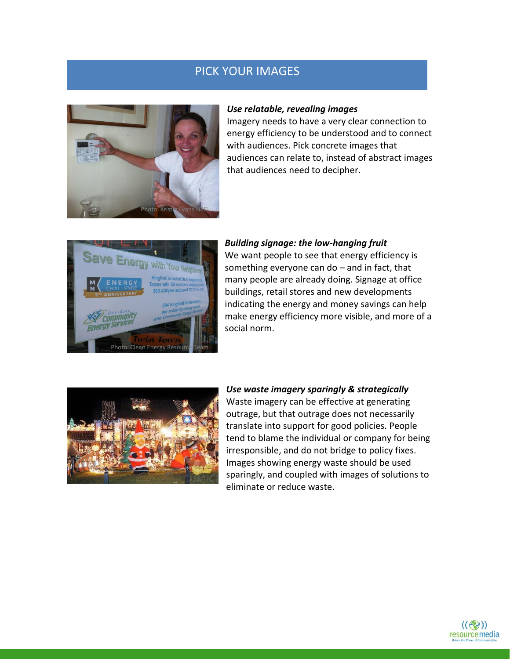# PICK YOUR IMAGES



#### *Use relatable, revealing images*

Imagery needs to have a very clear connection to energy efficiency to be understood and to connect with audiences. Pick concrete images that audiences can relate to, instead of abstract images that audiences need to decipher.



*Building signage: the low-hanging fruit* We want people to see that energy efficiency is something everyone can do – and in fact, that many people are already doing. Signage at office buildings, retail stores and new developments indicating the energy and money savings can help make energy efficiency more visible, and more of a social norm.



#### *Use waste imagery sparingly & strategically*

Waste imagery can be effective at generating outrage, but that outrage does not necessarily translate into support for good policies. People tend to blame the individual or company for being irresponsible, and do not bridge to policy fixes. Images showing energy waste should be used sparingly, and coupled with images of solutions to eliminate or reduce waste.